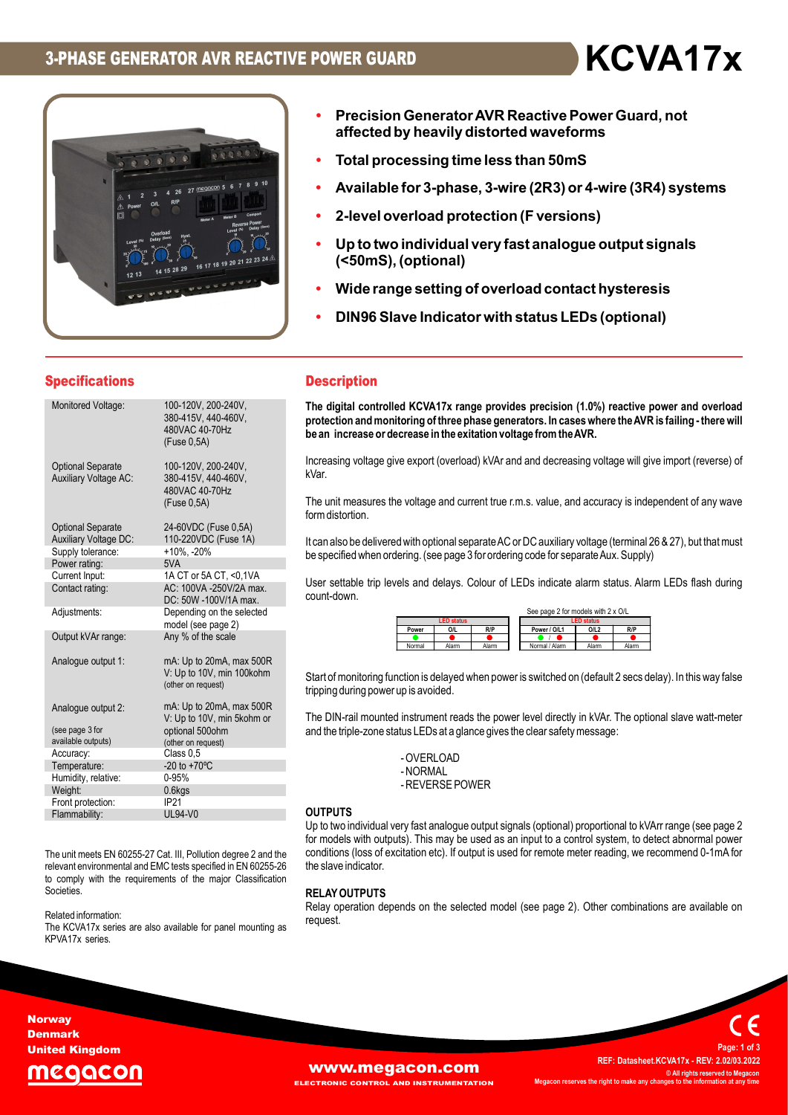

- Precision Generator AVR Reactive Power Guard, not affected by heavily distorted waveforms
- Total processing time less than 50mS
- Available for 3-phase, 3-wire (2R3) or 4-wire (3R4) systems
- 
- Precision Generator AVR Reactive Power Guard, not<br>• Trecision Generator AVR Reactive Power Guard, not<br>• Total processing time less than 50mS<br>• Available for 3-phase, 3-wire (2R3) or 4-wire (3R4) systems<br>• 2-level overloa (<50mS), (optional) • Precision Generator AVR Reactive Power Guard, not<br>• Frecision Generator AVR Reactive Power Guard, not<br>• Total processing time less than 50mS<br>• Available for 3-phase, 3-wire (2R3) or 4-wire (3R4) systems<br>• 2-level overloa
- Wide range setting of overload contact hysteresis
- DIN96 Slave Indicator with status LEDs (optional)

# Specifications **Description**

| <b>Specifications</b><br><b>Description</b><br>Monitored Voltage:<br>100-120V, 200-240V,<br>380-415V, 440-460V,<br>480VAC 40-70Hz<br>be an increase or decrease in the exitation voltage from the AVR.<br>(Fuse 0,5A)<br><b>Optional Separate</b><br>100-120V, 200-240V,<br>kVar.<br><b>Auxiliary Voltage AC:</b><br>380-415V, 440-460V,<br>480VAC 40-70Hz<br>The unit measures the voltage and current true r.m.s. value, and accuracy is independent of any<br>(Fuse 0,5A)<br>form distortion.<br><b>Optional Separate</b><br>24-60VDC (Fuse 0,5A)<br><b>Auxiliary Voltage DC:</b><br>110-220VDC (Fuse 1A)<br>It can also be delivered with optional separate AC or DC auxiliary voltage (terminal 26 & 27), but that<br>Supply tolerance:<br>$+10\%$ , $-20\%$<br>be specified when ordering. (see page 3 for ordering code for separate Aux. Supply)<br>Power rating:<br>5VA<br>Current Input:<br>1A CT or 5A CT, <0,1VA<br>AC: 100VA -250V/2A max.<br>Contact rating:<br>count-down.<br>DC: 50W -100V/1A max.<br>Depending on the selected<br>See page 2 for models with 2 x O/L<br>Adjustments:<br><b>LED</b> status<br>model (see page 2)<br>O/L<br>R/P<br>O/L2<br>R/P<br>Power / O/L1<br>Power<br>Any % of the scale<br>Output kVAr range:<br>Alarm<br>Alarm<br>Normal / Alarm<br>Normal<br>Alam<br>Alarm<br>Analogue output 1:<br>mA: Up to 20mA, max 500R<br>V: Up to 10V, min 100kohm<br>(other on request)<br>tripping during power up is avoided.<br>mA: Up to 20mA, max 500R<br>Analogue output 2:<br>V: Up to 10V, min 5kohm or<br>and the triple-zone status LEDs at a glance gives the clear safety message:<br>(see page 3 for<br>optional 500ohm<br>available outputs)<br>(other on request)<br>Class $0,5$<br>Accuracy:<br>- OVERLOAD<br>$-20$ to $+70^{\circ}$ C<br>Temperature:<br>- NORMAL<br>0-95%<br>Humidity, relative:<br>- REVERSE POWER<br>Weight:<br>$0.6$ kgs<br>Front protection:<br>IP21<br><b>OUTPUTS</b><br><b>UL94-V0</b><br>Flammability:<br>The unit meets EN 60255-27 Cat. III, Pollution degree 2 and the<br>the slave indicator.<br>relevant environmental and EMC tests specified in EN 60255-26<br>to comply with the requirements of the major Classification<br>Societies.<br><b>RELAY OUTPUTS</b><br>Related information:<br>request.<br>The KCVA17x series are also available for panel mounting as<br>KPVA17x series.<br>rwav | O<br>12 13 | 4 26 27 mg ocon 5 6<br>$\overline{\mathbf{3}}$<br>O/L<br>16 17 18 19 20 21 22 23 24 | Available for 3-phase, 3-wire (2R3) or 4-wire (3R4) system<br>2-level overload protection (F versions)<br>۰<br>Up to two individual very fast analogue output signals<br>$\bullet$<br>(<50mS), (optional)<br>Wide range setting of overload contact hysteresis<br>DIN96 Slave Indicator with status LEDs (optional)<br>$\bullet$ |
|-------------------------------------------------------------------------------------------------------------------------------------------------------------------------------------------------------------------------------------------------------------------------------------------------------------------------------------------------------------------------------------------------------------------------------------------------------------------------------------------------------------------------------------------------------------------------------------------------------------------------------------------------------------------------------------------------------------------------------------------------------------------------------------------------------------------------------------------------------------------------------------------------------------------------------------------------------------------------------------------------------------------------------------------------------------------------------------------------------------------------------------------------------------------------------------------------------------------------------------------------------------------------------------------------------------------------------------------------------------------------------------------------------------------------------------------------------------------------------------------------------------------------------------------------------------------------------------------------------------------------------------------------------------------------------------------------------------------------------------------------------------------------------------------------------------------------------------------------------------------------------------------------------------------------------------------------------------------------------------------------------------------------------------------------------------------------------------------------------------------------------------------------------------------------------------------------------------------------------------------------------------------------------------------------------------------------------------------------------------------------------|------------|-------------------------------------------------------------------------------------|----------------------------------------------------------------------------------------------------------------------------------------------------------------------------------------------------------------------------------------------------------------------------------------------------------------------------------|
|                                                                                                                                                                                                                                                                                                                                                                                                                                                                                                                                                                                                                                                                                                                                                                                                                                                                                                                                                                                                                                                                                                                                                                                                                                                                                                                                                                                                                                                                                                                                                                                                                                                                                                                                                                                                                                                                                                                                                                                                                                                                                                                                                                                                                                                                                                                                                                               |            |                                                                                     |                                                                                                                                                                                                                                                                                                                                  |
|                                                                                                                                                                                                                                                                                                                                                                                                                                                                                                                                                                                                                                                                                                                                                                                                                                                                                                                                                                                                                                                                                                                                                                                                                                                                                                                                                                                                                                                                                                                                                                                                                                                                                                                                                                                                                                                                                                                                                                                                                                                                                                                                                                                                                                                                                                                                                                               |            |                                                                                     | The digital controlled KCVA17x range provides precision (1.0%) reactive power and over<br>protection and monitoring of three phase generators. In cases where the AVR is failing - the                                                                                                                                           |
|                                                                                                                                                                                                                                                                                                                                                                                                                                                                                                                                                                                                                                                                                                                                                                                                                                                                                                                                                                                                                                                                                                                                                                                                                                                                                                                                                                                                                                                                                                                                                                                                                                                                                                                                                                                                                                                                                                                                                                                                                                                                                                                                                                                                                                                                                                                                                                               |            |                                                                                     | Increasing voltage give export (overload) kVAr and and decreasing voltage will give import (reve                                                                                                                                                                                                                                 |
|                                                                                                                                                                                                                                                                                                                                                                                                                                                                                                                                                                                                                                                                                                                                                                                                                                                                                                                                                                                                                                                                                                                                                                                                                                                                                                                                                                                                                                                                                                                                                                                                                                                                                                                                                                                                                                                                                                                                                                                                                                                                                                                                                                                                                                                                                                                                                                               |            |                                                                                     |                                                                                                                                                                                                                                                                                                                                  |
|                                                                                                                                                                                                                                                                                                                                                                                                                                                                                                                                                                                                                                                                                                                                                                                                                                                                                                                                                                                                                                                                                                                                                                                                                                                                                                                                                                                                                                                                                                                                                                                                                                                                                                                                                                                                                                                                                                                                                                                                                                                                                                                                                                                                                                                                                                                                                                               |            |                                                                                     |                                                                                                                                                                                                                                                                                                                                  |
|                                                                                                                                                                                                                                                                                                                                                                                                                                                                                                                                                                                                                                                                                                                                                                                                                                                                                                                                                                                                                                                                                                                                                                                                                                                                                                                                                                                                                                                                                                                                                                                                                                                                                                                                                                                                                                                                                                                                                                                                                                                                                                                                                                                                                                                                                                                                                                               |            |                                                                                     |                                                                                                                                                                                                                                                                                                                                  |
|                                                                                                                                                                                                                                                                                                                                                                                                                                                                                                                                                                                                                                                                                                                                                                                                                                                                                                                                                                                                                                                                                                                                                                                                                                                                                                                                                                                                                                                                                                                                                                                                                                                                                                                                                                                                                                                                                                                                                                                                                                                                                                                                                                                                                                                                                                                                                                               |            |                                                                                     | User settable trip levels and delays. Colour of LEDs indicate alarm status. Alarm LEDs flash                                                                                                                                                                                                                                     |
|                                                                                                                                                                                                                                                                                                                                                                                                                                                                                                                                                                                                                                                                                                                                                                                                                                                                                                                                                                                                                                                                                                                                                                                                                                                                                                                                                                                                                                                                                                                                                                                                                                                                                                                                                                                                                                                                                                                                                                                                                                                                                                                                                                                                                                                                                                                                                                               |            |                                                                                     |                                                                                                                                                                                                                                                                                                                                  |
|                                                                                                                                                                                                                                                                                                                                                                                                                                                                                                                                                                                                                                                                                                                                                                                                                                                                                                                                                                                                                                                                                                                                                                                                                                                                                                                                                                                                                                                                                                                                                                                                                                                                                                                                                                                                                                                                                                                                                                                                                                                                                                                                                                                                                                                                                                                                                                               |            |                                                                                     |                                                                                                                                                                                                                                                                                                                                  |
|                                                                                                                                                                                                                                                                                                                                                                                                                                                                                                                                                                                                                                                                                                                                                                                                                                                                                                                                                                                                                                                                                                                                                                                                                                                                                                                                                                                                                                                                                                                                                                                                                                                                                                                                                                                                                                                                                                                                                                                                                                                                                                                                                                                                                                                                                                                                                                               |            |                                                                                     | Start of monitoring function is delayed when power is switched on (default 2 secs delay). In this wa                                                                                                                                                                                                                             |
|                                                                                                                                                                                                                                                                                                                                                                                                                                                                                                                                                                                                                                                                                                                                                                                                                                                                                                                                                                                                                                                                                                                                                                                                                                                                                                                                                                                                                                                                                                                                                                                                                                                                                                                                                                                                                                                                                                                                                                                                                                                                                                                                                                                                                                                                                                                                                                               |            |                                                                                     | The DIN-rail mounted instrument reads the power level directly in kVAr. The optional slave watt                                                                                                                                                                                                                                  |
|                                                                                                                                                                                                                                                                                                                                                                                                                                                                                                                                                                                                                                                                                                                                                                                                                                                                                                                                                                                                                                                                                                                                                                                                                                                                                                                                                                                                                                                                                                                                                                                                                                                                                                                                                                                                                                                                                                                                                                                                                                                                                                                                                                                                                                                                                                                                                                               |            |                                                                                     |                                                                                                                                                                                                                                                                                                                                  |
|                                                                                                                                                                                                                                                                                                                                                                                                                                                                                                                                                                                                                                                                                                                                                                                                                                                                                                                                                                                                                                                                                                                                                                                                                                                                                                                                                                                                                                                                                                                                                                                                                                                                                                                                                                                                                                                                                                                                                                                                                                                                                                                                                                                                                                                                                                                                                                               |            |                                                                                     |                                                                                                                                                                                                                                                                                                                                  |
|                                                                                                                                                                                                                                                                                                                                                                                                                                                                                                                                                                                                                                                                                                                                                                                                                                                                                                                                                                                                                                                                                                                                                                                                                                                                                                                                                                                                                                                                                                                                                                                                                                                                                                                                                                                                                                                                                                                                                                                                                                                                                                                                                                                                                                                                                                                                                                               |            |                                                                                     |                                                                                                                                                                                                                                                                                                                                  |
|                                                                                                                                                                                                                                                                                                                                                                                                                                                                                                                                                                                                                                                                                                                                                                                                                                                                                                                                                                                                                                                                                                                                                                                                                                                                                                                                                                                                                                                                                                                                                                                                                                                                                                                                                                                                                                                                                                                                                                                                                                                                                                                                                                                                                                                                                                                                                                               |            |                                                                                     |                                                                                                                                                                                                                                                                                                                                  |
|                                                                                                                                                                                                                                                                                                                                                                                                                                                                                                                                                                                                                                                                                                                                                                                                                                                                                                                                                                                                                                                                                                                                                                                                                                                                                                                                                                                                                                                                                                                                                                                                                                                                                                                                                                                                                                                                                                                                                                                                                                                                                                                                                                                                                                                                                                                                                                               |            |                                                                                     |                                                                                                                                                                                                                                                                                                                                  |
|                                                                                                                                                                                                                                                                                                                                                                                                                                                                                                                                                                                                                                                                                                                                                                                                                                                                                                                                                                                                                                                                                                                                                                                                                                                                                                                                                                                                                                                                                                                                                                                                                                                                                                                                                                                                                                                                                                                                                                                                                                                                                                                                                                                                                                                                                                                                                                               |            |                                                                                     | Up to two individual very fast analogue output signals (optional) proportional to kVArr range (see<br>for models with outputs). This may be used as an input to a control system, to detect abnormal<br>conditions (loss of excitation etc). If output is used for remote meter reading, we recommend 0-1                        |
|                                                                                                                                                                                                                                                                                                                                                                                                                                                                                                                                                                                                                                                                                                                                                                                                                                                                                                                                                                                                                                                                                                                                                                                                                                                                                                                                                                                                                                                                                                                                                                                                                                                                                                                                                                                                                                                                                                                                                                                                                                                                                                                                                                                                                                                                                                                                                                               |            |                                                                                     |                                                                                                                                                                                                                                                                                                                                  |
|                                                                                                                                                                                                                                                                                                                                                                                                                                                                                                                                                                                                                                                                                                                                                                                                                                                                                                                                                                                                                                                                                                                                                                                                                                                                                                                                                                                                                                                                                                                                                                                                                                                                                                                                                                                                                                                                                                                                                                                                                                                                                                                                                                                                                                                                                                                                                                               |            |                                                                                     | Relay operation depends on the selected model (see page 2). Other combinations are availa                                                                                                                                                                                                                                        |
|                                                                                                                                                                                                                                                                                                                                                                                                                                                                                                                                                                                                                                                                                                                                                                                                                                                                                                                                                                                                                                                                                                                                                                                                                                                                                                                                                                                                                                                                                                                                                                                                                                                                                                                                                                                                                                                                                                                                                                                                                                                                                                                                                                                                                                                                                                                                                                               |            |                                                                                     |                                                                                                                                                                                                                                                                                                                                  |

## Related information:

• 2-level overload protection (F versions)<br>• Up to two individual very fast analogue output signals<br>(<50mS), (optional)<br>• Wide range setting of overload contact hysteresis<br>• DIN96 Slave Indicator with status LEDs (optiona **THE DIGITS CONTRIMET SURFALL CONTRIMET SURFALL CONTRIMENT CONTRIMENT CONTRIMENT CONTRIMENT CONTRIMENT CONTRIMENT CONTRIMENT CONTRIMENT CONTRIMENT CONTRIMENT CONTRIMENT CONTRIMENT CONTRIMENT CONTRIMENT CONTRIMENT CONTRIMEN** protection and monitoring of three phase generators. In cases where the AVR is failing - there will The digital controlled KCVA17x range provides precision (1.0%) reactive power and overload be an increase or decrease in the exitation voltage from the AVR.

Increasing voltage give export (overload) kVAr and and decreasing voltage will give import (reverse) of kVar.

The unit measures the voltage and current true r.m.s. value, and accuracy is independent of any wave form distortion.

It can also be delivered with optional separate AC or DC auxiliary voltage (terminal 26 & 27), but that must

User settable trip levels and delays. Colour of LEDs indicate alarm status. Alarm LEDs flash during count-down.

|        |                   |       | See page 2 for models will 2 X O/L |                   |       |
|--------|-------------------|-------|------------------------------------|-------------------|-------|
|        | <b>LED status</b> |       |                                    | <b>LED status</b> |       |
| Power  | 0/L               | R/P   | Power / O/L1                       | Q/L2              | R/P   |
|        |                   |       |                                    |                   |       |
| Normal | Alarm             | Alarm | Normal / Alarm                     | Alam              | Alarm |

Start of monitoring function is delayed when power is switched on (default 2 secs delay). In this way false tripping during power up is avoided.

The DIN-rail mounted instrument reads the power level directly in kVAr. The optional slave watt-meter and the triple-zone status LEDs at a glance gives the clear safety message:

# **OUTPUTS**

XAr. The optional slave watt-meter<br>sage:<br>pystem, to detect abnormal power<br>eading, we recommend 0-1mA for<br>ear combinations are available on<br>per combinations are available on<br>**REF:** Datasheet.KCVA17x - REV: 2.02/03.2022<br>wigh Next us the voltage and current thue r.m.s. value, and accuracy is independent of any wave<br>The unit measures the voltage and current thue r.m.s. value, and accuracy is independent of any wave<br>form distortion.<br>
Ucan also be for models with outputs). This may be used as an input to a control system, to detect abnormal power conditions (loss of excitation etc). If output is used for remote meter reading, we recommend 0-1mA for the slave indicator. dependent of any wave<br>
Il 26 & 27), but that must<br>
Iy)<br>
arm LEDs flash during<br>
delay). In this way false<br>
tional slave watt-meter<br>
tional slave watt-meter<br>
Poster abnormal power<br>
recommend 0-1mA for<br>
recommend 0-1mA for

# RELAY OUTPUTS

Relay operation depends on the selected model (see page 2). Other combinations are available on request.

**Norway** Denmark United Kingdom



**END INSTRUMENTATION** 

**WWW.Megacon.com**<br>COM Megacon reserves the right to make any changes to the information<br>ECTRONIC CONTROL AND INSTRUMENTATION Megacon reserves the right to make any changes to the information at any time © All rights reserved to Meg Megacon reserves the right to make any changes to the information at any time Page: 1 of 3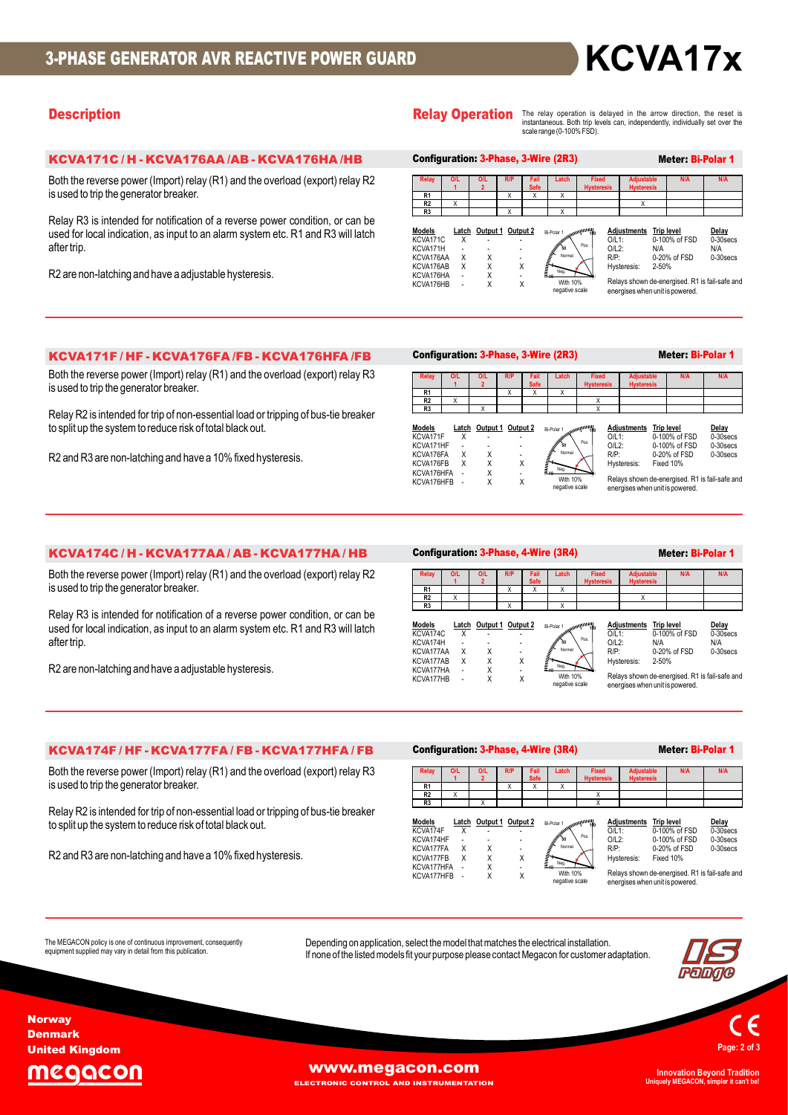# **Description Description** The arrow direction, the reset is **CRELAY Operation** The relay operation is delayed in the arrow direction, the reset is

|                                                                                                                                                                                  |                                                                                                                                                                                                                                   | KCVA17x                                                                                                                                                                             |
|----------------------------------------------------------------------------------------------------------------------------------------------------------------------------------|-----------------------------------------------------------------------------------------------------------------------------------------------------------------------------------------------------------------------------------|-------------------------------------------------------------------------------------------------------------------------------------------------------------------------------------|
| <b>Description</b>                                                                                                                                                               | <b>Relay Operation</b><br>scale range (0-100% FSD).                                                                                                                                                                               | The relay operation is delayed in the arrow direction, the reset is<br>instantaneous. Both trip levels can, independently, individually set over the                                |
| KCVA171C / H - KCVA176AA /AB - KCVA176HA /HB                                                                                                                                     | Configuration: 3-Phase, 3-Wire (2R3)                                                                                                                                                                                              | <b>Meter: Bi-Polar 1</b>                                                                                                                                                            |
| Both the reverse power (Import) relay (R1) and the overload (export) relay R2<br>is used to trip the generator breaker.                                                          | Fixed<br>Latch<br>Relay<br><b>OIL</b><br><b>OIL</b><br>Fail<br><b>Safe</b><br>R1<br>$\mathsf{X}$<br>$\mathsf{X}$<br>X<br>R2<br>X<br>R3                                                                                            | Adjustable<br><b>N/A</b><br><b>N/A</b><br>X                                                                                                                                         |
| Relay R3 is intended for notification of a reverse power condition, or can be<br>used for local indication, as input to an alarm system etc. R1 and R3 will latch<br>after trip. | Latch Output 1 Output 2<br><u>Models</u><br>Bi-Polar 1<br>KCVA171C<br>X<br>KCVA171H<br>$R/P$ :<br>KCVA176AA<br>$\mathsf{X}$<br>X                                                                                                  | <b>Adjustments</b> Trip level<br>Delay<br>0-100% of FSD<br>0-30 secs<br>$O/L1$ :<br>$O/L2$ :<br>N/A<br>N/A<br>0-20% of FSD<br>0-30secs                                              |
| R2 are non-latching and have a adjustable hysteresis.                                                                                                                            | KCVA176AB<br>Χ<br>Χ<br>Χ<br>KCVA176HA<br>X<br>With 10%<br>Χ<br>X<br>KCVA176HB<br>negative scale                                                                                                                                   | Hysteresis: 2-50%<br>Relays shown de-energised. R1 is fail-safe and<br>energises when unit is powered.                                                                              |
|                                                                                                                                                                                  |                                                                                                                                                                                                                                   |                                                                                                                                                                                     |
| KCVA171F / HF - KCVA176FA /FB - KCVA176HFA /FB                                                                                                                                   | <b>Configuration: 3-Phase, 3-Wire (2R3)</b>                                                                                                                                                                                       | Meter: Bi-Polar 1                                                                                                                                                                   |
| Both the reverse power (Import) relay (R1) and the overload (export) relay R3<br>is used to trip the generator breaker.                                                          | Fixed<br>OIL<br><b>OIL</b><br>Fail<br>Latch<br><b>Hysteres</b><br>R1<br>$\mathsf{x}$<br>R <sub>2</sub><br>X<br>X                                                                                                                  | <b>N/A</b><br>Adjustable<br><b>Hysteresis</b>                                                                                                                                       |
| Relay R2 is intended for trip of non-essential load or tripping of bus-tie breaker                                                                                               | R3<br>X<br>X                                                                                                                                                                                                                      |                                                                                                                                                                                     |
| to split up the system to reduce risk of total black out.                                                                                                                        | Latch Output 1 Output 2<br><u>Models</u><br>Bi-Polar 1<br>KCVA171F<br>Х                                                                                                                                                           | <b>Adjustments</b><br><b>Trip level</b><br>Delay<br>0-30 secs<br>$O/L1$ :<br>0-100% of FSD                                                                                          |
| R2 and R3 are non-latching and have a 10% fixed hysteresis.                                                                                                                      | KCVA171HF<br>X<br>R/P:<br>KCVA176FA<br>X<br>$\overline{\phantom{a}}$<br>X<br>X<br>X<br>KCVA176FB<br>Χ<br>KCVA176HFA<br>$\overline{\phantom{a}}$<br>$\overline{\phantom{a}}$<br>X<br>X<br>With 10%<br>KCVA176HFB<br>negative scale | $O/L2$ :<br>0-100% of FSD<br>0-30 secs<br>0-20% of FSD<br>0-30secs<br>Fixed 10%<br>Hysteresis:<br>Relays shown de-energised. R1 is fail-safe and<br>energises when unit is powered. |

|                           |   |                         |     |                     | Configuration: 3-Phase, 3-Wire (2R3) |                                   |                                        | <b>Meter: Bi-Polar 1</b>           |                      |
|---------------------------|---|-------------------------|-----|---------------------|--------------------------------------|-----------------------------------|----------------------------------------|------------------------------------|----------------------|
| <b>Relay</b>              |   | 0/L<br>$\overline{2}$   | R/P | Fail<br><b>Safe</b> | Latch                                | <b>Fixed</b><br><b>Hysteresis</b> | <b>Adjustable</b><br><b>Hysteresis</b> | <b>N/A</b>                         | <b>N/A</b>           |
| R <sub>1</sub>            |   |                         | x   | X                   | Χ                                    |                                   |                                        |                                    |                      |
| R <sub>2</sub>            |   |                         |     |                     |                                      |                                   |                                        |                                    |                      |
| R <sub>3</sub>            |   |                         |     |                     |                                      | Х                                 |                                        |                                    |                      |
| <b>Models</b><br>KCVA171F | x | Latch Output 1 Output 2 |     |                     | Allenwindows Community               | $Q/L1$ :                          | <b>Adiustments</b>                     | <b>Trip level</b><br>0-100% of FSD | Delay<br>$0-30$ secs |

|            |  |   | ופשי ויוש<br>100         | .           |                                                | ----        |
|------------|--|---|--------------------------|-------------|------------------------------------------------|-------------|
| KCVA171F   |  | ۰ | antification of the con- | $Q/L1$ :    | 0-100% of FSD                                  | $0-30$ secs |
| KCVA171HF  |  | ۰ | Pos.<br>50               | $O/L2$ :    | 0-100% of FSD                                  | $0-30$ secs |
| KCVA176FA  |  |   | Normal                   | $R/P$ :     | 0-20% of FSD                                   | 0-30 secs   |
| KCVA176FB  |  |   |                          | Hysteresis: | Fixed 10%                                      |             |
| KCVA176HFA |  | ٠ | Neg.                     |             |                                                |             |
| KCVA176HFB |  |   | With 10%                 |             | Relays shown de-energised. R1 is fail-safe and |             |
|            |  |   | negative scale           |             | energises when unit is powered.                |             |

| used for local indication, as input to an alarm system etc. R1 and R3 will latch<br>after trip.<br>R2 are non-latching and have a adjustable hysteresis.                                                                                                                                                                                  | Adjustments Trip level<br>Latch Output 1 Output 2<br>Delay<br><u>Models</u><br>Bi-Polar 1<br>0-100% of FSD<br>$0-30$ secs<br>KCVA171C<br>$O/L1$ :<br>X<br>$O/L2$ :<br>KCVA171H<br>N/A<br>N/A<br>KCVA176AA<br>$\mathsf{X}$<br>$R/P$ :<br>0-20% of FSD<br>X<br>0-30secs<br>KCVA176AB<br>X<br>X<br>X<br>Hysteresis:<br>2-50%<br>KCVA176HA<br>$_{\rm X}^{\rm X}$<br>$\blacksquare$<br>Relays shown de-energised. R1 is fail-safe and<br><b>With 10%</b><br>X<br>KCVA176HB<br>negative scale<br>energises when unit is powered.                                                                               |
|-------------------------------------------------------------------------------------------------------------------------------------------------------------------------------------------------------------------------------------------------------------------------------------------------------------------------------------------|----------------------------------------------------------------------------------------------------------------------------------------------------------------------------------------------------------------------------------------------------------------------------------------------------------------------------------------------------------------------------------------------------------------------------------------------------------------------------------------------------------------------------------------------------------------------------------------------------------|
| KCVA171F / HF - KCVA176FA /FB - KCVA176HFA /FB                                                                                                                                                                                                                                                                                            | Meter: Bi-Polar 1<br>Configuration: 3-Phase, 3-Wire (2R3)                                                                                                                                                                                                                                                                                                                                                                                                                                                                                                                                                |
| Both the reverse power (Import) relay (R1) and the overload (export) relay R3<br>is used to trip the generator breaker.<br>Relay R2 is intended for trip of non-essential load or tripping of bus-tie breaker<br>to split up the system to reduce risk of total black out.<br>R2 and R3 are non-latching and have a 10% fixed hysteresis. | <b>O/L</b><br><b>O/L</b><br>Fixed<br>Adjustable<br><b>N/A</b><br><b>N/A</b><br>Safe<br><b>Hysteresis</b><br><b>Hysteres</b><br>R <sub>1</sub><br>R2<br>X<br>X<br>R3<br><u>Models</u><br>Latch Output 1 Output 2<br><b>Trip level</b><br>Delay<br><u>Adjustments</u><br>Bi-Polar<br>KCVA171F<br>$O/L1$ :<br>0-100% of FSD<br>0-30 secs<br>Х<br>$O/L2$ :<br>KCVA171HF<br>0-100% of FSD<br>0-30 secs<br>$R/P$ :<br>0-30secs<br>KCVA176FA<br>X<br>Χ<br>0-20% of FSD<br>X<br>KCVA176FB<br>Χ<br>X<br>Hysteresis:<br>Fixed 10%<br>KCVA176HFA<br>X<br>Relays shown de-energised. R1 is fail-safe and<br>With 10% |
|                                                                                                                                                                                                                                                                                                                                           | X<br>X<br>KCVA176HFB<br>negative scale<br>energises when unit is powered.                                                                                                                                                                                                                                                                                                                                                                                                                                                                                                                                |
| KCVA174C/H-KCVA177AA/AB-KCVA177HA/HB                                                                                                                                                                                                                                                                                                      | <b>Configuration: 3-Phase, 4-Wire (3R4)</b><br>Meter: Bi-Polar 1                                                                                                                                                                                                                                                                                                                                                                                                                                                                                                                                         |
| Both the reverse power (Import) relay (R1) and the overload (export) relay R2<br>is used to trip the generator breaker.<br>Relay R3 is intended for notification of a reverse power condition, or can be<br>used for local indication, as input to an alarm system etc. R1 and R3 will latch                                              | Fixed<br>Adjustable<br><b>N/A</b><br><b>N/A</b><br>Latch<br><b>O/L</b><br>Fail<br>R1<br>$\chi$<br>X<br>X<br>R2<br>X<br>R3<br>Latch Output 1 Output 2<br><u>Models</u><br><b>Adjustments</b> Trip level<br>Delay<br>Bi-Polar 1<br>0-100% of FSD<br>KCVA174C<br>0-30 secs<br>$O/L1$ :<br>X<br>KCVA174H<br>$O/L2$ :<br>N/A<br>N/A<br>KCVA177AA<br>$R/P$ :<br>0-20% of FSD<br>0-30secs<br>X<br>Χ                                                                                                                                                                                                             |
| after trip.<br>R2 are non-latching and have a adjustable hysteresis.                                                                                                                                                                                                                                                                      | KCVA177AB<br>X<br>Χ<br>2-50%<br>Χ<br>Hysteresis:<br>X<br>KCVA177HA<br>With 10%<br>X<br>KCVA177HB<br>Χ<br>negative scale<br>energises when unit is powered.                                                                                                                                                                                                                                                                                                                                                                                                                                               |
|                                                                                                                                                                                                                                                                                                                                           |                                                                                                                                                                                                                                                                                                                                                                                                                                                                                                                                                                                                          |
| KCVA174F / HF - KCVA177FA / FB - KCVA177HFA / FB<br>Both the reverse power (Import) relay (R1) and the overload (export) relay R3<br>is used to trip the generator breaker.                                                                                                                                                               | Relays shown de-energised. R1 is fail-safe and<br>Configuration: 3-Phase, 4-Wire (3R4)<br>Meter: Bi-Polar 1<br>Fixed<br><b>N/A</b><br><b>OIL</b><br><b>OIL</b><br>Fail<br>Adjustable<br>Hysteresis<br>Latch<br>Hyetara<br>R1<br>$\chi$<br>X<br>X<br>R <sub>2</sub><br>X                                                                                                                                                                                                                                                                                                                                  |
| Relay R2 is intended for trip of non-essential load or tripping of bus-tie breaker<br>to split up the system to reduce risk of total black out.                                                                                                                                                                                           | R3<br>Latch Output 1 Output 2<br>Delay<br><b>Adjustments</b><br><b>Trip level</b><br><u>Models</u><br>Bi-Polar 1<br>0-30 secs<br>KCVA174F<br>$O/L1$ :<br>0-100% of FSD<br>Х<br>$O/L2$ :<br>0-30 secs<br>KCVA174HF<br>0-100% of FSD                                                                                                                                                                                                                                                                                                                                                                       |

| Configuration: 3-Phase, 4-Wire (3R4) |  |  |  |
|--------------------------------------|--|--|--|
|--------------------------------------|--|--|--|

|                                                                                                                                                                                       | R <sub>2</sub><br>Χ                                                                                                        |                                             |                                                                     |                                                                                          | Χ                                                                                                                                          |                                                             |                                                  |
|---------------------------------------------------------------------------------------------------------------------------------------------------------------------------------------|----------------------------------------------------------------------------------------------------------------------------|---------------------------------------------|---------------------------------------------------------------------|------------------------------------------------------------------------------------------|--------------------------------------------------------------------------------------------------------------------------------------------|-------------------------------------------------------------|--------------------------------------------------|
| dition, or can be                                                                                                                                                                     | R <sub>3</sub>                                                                                                             | X                                           | $\mathsf{x}$                                                        |                                                                                          |                                                                                                                                            |                                                             |                                                  |
| and R3 will latch                                                                                                                                                                     | Models<br>KCVA174C<br>X<br>KCVA174H<br>÷.<br>KCVA177AA<br>X<br>KCVA177AB<br>X<br>KCVA177HA<br>$\sim$<br>KCVA177HB<br>×,    | Latch Output 1 Output 2<br>X<br>X<br>X<br>X | Bi-Polar 1<br>50<br>Normal<br>$\frac{1}{2}$<br>Χ<br>Neg.<br>ä,<br>X | $O/L1$ :<br>Pos.<br>$O/L2$ :<br>$R/P$ :<br><b>With 10%</b><br>negative scale             | Adjustments Trip level<br>N/A<br>2-50%<br>Hysteresis:<br>Relays shown de-energised. R1 is fail-safe and<br>energises when unit is powered. | 0-100% of FSD<br>0-20% of FSD                               | Delay<br>$0-30$ secs<br>N/A<br>0-30 secs         |
| 77HFA/FB                                                                                                                                                                              | Configuration: 3-Phase, 4-Wire (3R4)                                                                                       |                                             |                                                                     |                                                                                          |                                                                                                                                            | Meter: Bi-Polar 1                                           |                                                  |
| (export) relay R3                                                                                                                                                                     | O/L<br><b>Relay</b><br>$\mathbf{1}$                                                                                        | <b>O/L</b><br>R/P<br>$\overline{2}$         | Fail<br>Latch<br><b>Safe</b>                                        | <b>Fixed</b><br><b>Hysteresis</b>                                                        | <b>Adjustable</b><br><b>Hysteresis</b>                                                                                                     | N/A                                                         | N/A                                              |
|                                                                                                                                                                                       | R <sub>1</sub><br>R <sub>2</sub><br>Χ                                                                                      | X                                           | Χ<br>χ                                                              | Χ                                                                                        |                                                                                                                                            |                                                             |                                                  |
| f bus-tie breaker                                                                                                                                                                     | R <sub>3</sub>                                                                                                             | X                                           |                                                                     | X                                                                                        |                                                                                                                                            |                                                             |                                                  |
|                                                                                                                                                                                       | Models<br>KCVA174F<br>Χ<br>KCVA174HF<br>$\blacksquare$<br>KCVA177FA<br>X<br>KCVA177FB<br>X<br>KCVA177HFA -<br>KCVA177HFB - | Latch Output 1 Output 2<br>X<br>X<br>X<br>X | Bi-Polar 1<br>'n<br>ä,<br>Normal<br>÷.<br>Χ<br>Neg.<br>ä,<br>X      | <b>ARMANINA</b><br>$O/L1$ :<br>Pos.<br>$O/L2$ :<br>$R/P$ :<br>With 10%<br>negative scale | Adjustments Trip level<br>Hysteresis:<br>Relays shown de-energised. R1 is fail-safe and<br>energises when unit is powered.                 | 0-100% of FSD<br>0-100% of FSD<br>0-20% of FSD<br>Fixed 10% | Delay<br>$0-30$ secs<br>$0-30$ secs<br>0-30 secs |
| Depending on application, select the model that matches the electrical installation.<br>If none of the listed models fit your purpose please contact Megacon for customer adaptation. |                                                                                                                            |                                             |                                                                     |                                                                                          |                                                                                                                                            |                                                             |                                                  |

The MEGACON policy is one of continuous improvement, consequently **Depending on application**, select the model that matches the electrical installation. equipment supplied may vary in detail from this publication.<br>If none of the listed models fit your purpose please contact Megacon for customer adaptation.





Denmark United Kingdom

Norway



WWW.MEGACON.COM INNOVATION Innovation Beyond Tradition<br>
ECTRONIC CONTROL AND INSTRUMENTATION

**END INSTRUMENTATION** 

Uniquely MEGACON, simpler it can't be!